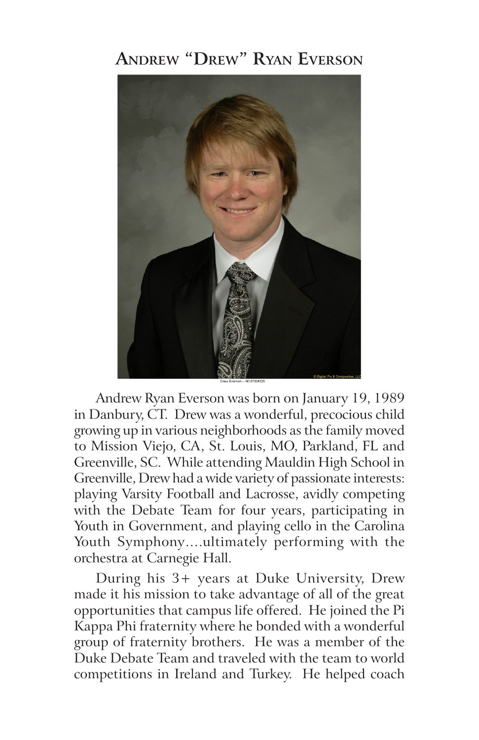## **Andrew "Drew" Ryan Everson**



Andrew Ryan Everson was born on January 19, 1989 in Danbury, CT. Drew was a wonderful, precocious child growing up in various neighborhoods as the family moved to Mission Viejo, CA, St. Louis, MO, Parkland, FL and Greenville, SC. While attending Mauldin High School in Greenville, Drew had a wide variety of passionate interests: playing Varsity Football and Lacrosse, avidly competing with the Debate Team for four years, participating in Youth in Government, and playing cello in the Carolina Youth Symphony….ultimately performing with the orchestra at Carnegie Hall.

 During his 3+ years at Duke University, Drew made it his mission to take advantage of all of the great opportunities that campus life offered. He joined the Pi Kappa Phi fraternity where he bonded with a wonderful group of fraternity brothers. He was a member of the Duke Debate Team and traveled with the team to world competitions in Ireland and Turkey. He helped coach